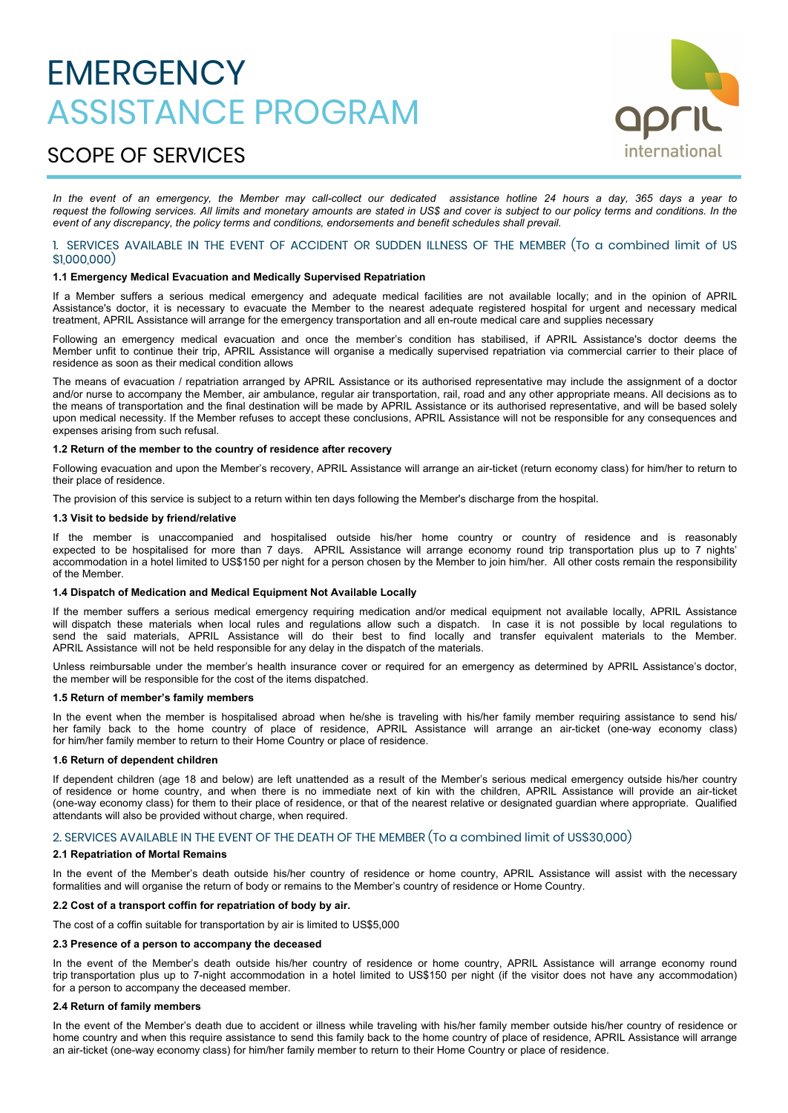# **EMERGENCY** ASSISTANCE PROGRAM



# SCOPE OF SERVICES

*In the event of an emergency, the Member may call-collect our dedicated assistance hotline 24 hours a day, 365 days a year to request the following services. All limits and monetary amounts are stated in US\$ and cover is subject to our policy terms and conditions. In the event of any discrepancy, the policy terms and conditions, endorsements and benefit schedules shall prevail.*

# 1. SERVICES AVAILABLE IN THE EVENT OF ACCIDENT OR SUDDEN ILLNESS OF THE MEMBER (To a combined limit of US \$1,000,000)

# **1.1 Emergency Medical Evacuation and Medically Supervised Repatriation**

If a Member suffers a serious medical emergency and adequate medical facilities are not available locally; and in the opinion of APRIL Assistance's doctor, it is necessary to evacuate the Member to the nearest adequate registered hospital for urgent and necessary medical treatment, APRIL Assistance will arrange for the emergency transportation and all en-route medical care and supplies necessary

Following an emergency medical evacuation and once the member's condition has stabilised, if APRIL Assistance's doctor deems the Member unfit to continue their trip, APRIL Assistance will organise a medically supervised repatriation via commercial carrier to their place of residence as soon as their medical condition allows

The means of evacuation / repatriation arranged by APRIL Assistance or its authorised representative may include the assignment of a doctor and/or nurse to accompany the Member, air ambulance, regular air transportation, rail, road and any other appropriate means. All decisions as to the means of transportation and the final destination will be made by APRIL Assistance or its authorised representative, and will be based solely upon medical necessity. If the Member refuses to accept these conclusions, APRIL Assistance will not be responsible for any consequences and expenses arising from such refusal.

# **1.2 Return of the member to the country of residence after recovery**

Following evacuation and upon the Member's recovery, APRIL Assistance will arrange an air-ticket (return economy class) for him/her to return to their place of residence.

The provision of this service is subject to a return within ten days following the Member's discharge from the hospital.

# **1.3 Visit to bedside by friend/relative**

If the member is unaccompanied and hospitalised outside his/her home country or country of residence and is reasonably expected to be hospitalised for more than 7 days. APRIL Assistance will arrange economy round trip transportation plus up to 7 nights' accommodation in a hotel limited to US\$150 per night for a person chosen by the Member to join him/her. All other costs remain the responsibility of the Member.

# **1.4 Dispatch of Medication and Medical Equipment Not Available Locally**

If the member suffers a serious medical emergency requiring medication and/or medical equipment not available locally, APRIL Assistance will dispatch these materials when local rules and regulations allow such a dispatch. In case it is not possible by local regulations to send the said materials, APRIL Assistance will do their best to find locally and transfer equivalent materials to the Member. APRIL Assistance will not be held responsible for any delay in the dispatch of the materials.

Unless reimbursable under the member's health insurance cover or required for an emergency as determined by APRIL Assistance's doctor, the member will be responsible for the cost of the items dispatched.

# **1.5 Return of member's family members**

In the event when the member is hospitalised abroad when he/she is traveling with his/her family member requiring assistance to send his/ her family back to the home country of place of residence, APRIL Assistance will arrange an air-ticket (one-way economy class) for him/her family member to return to their Home Country or place of residence.

# **1.6 Return of dependent children**

If dependent children (age 18 and below) are left unattended as a result of the Member's serious medical emergency outside his/her country of residence or home country, and when there is no immediate next of kin with the children, APRIL Assistance will provide an air-ticket (one-way economy class) for them to their place of residence, or that of the nearest relative or designated guardian where appropriate. Qualified attendants will also be provided without charge, when required.

# 2. SERVICES AVAILABLE IN THE EVENT OF THE DEATH OF THE MEMBER (To a combined limit of US\$30,000)

#### **2.1 Repatriation of Mortal Remains**

In the event of the Member's death outside his/her country of residence or home country, APRIL Assistance will assist with the necessary formalities and will organise the return of body or remains to the Member's country of residence or Home Country.

# **2.2 Cost of a transport coffin for repatriation of body by air.**

The cost of a coffin suitable for transportation by air is limited to US\$5,000

# **2.3 Presence of a person to accompany the deceased**

In the event of the Member's death outside his/her country of residence or home country, APRIL Assistance will arrange economy round trip transportation plus up to 7-night accommodation in a hotel limited to US\$150 per night (if the visitor does not have any accommodation) for a person to accompany the deceased member.

# **2.4 Return of family members**

In the event of the Member's death due to accident or illness while traveling with his/her family member outside his/her country of residence or home country and when this require assistance to send this family back to the home country of place of residence, APRIL Assistance will arrange an air-ticket (one-way economy class) for him/her family member to return to their Home Country or place of residence.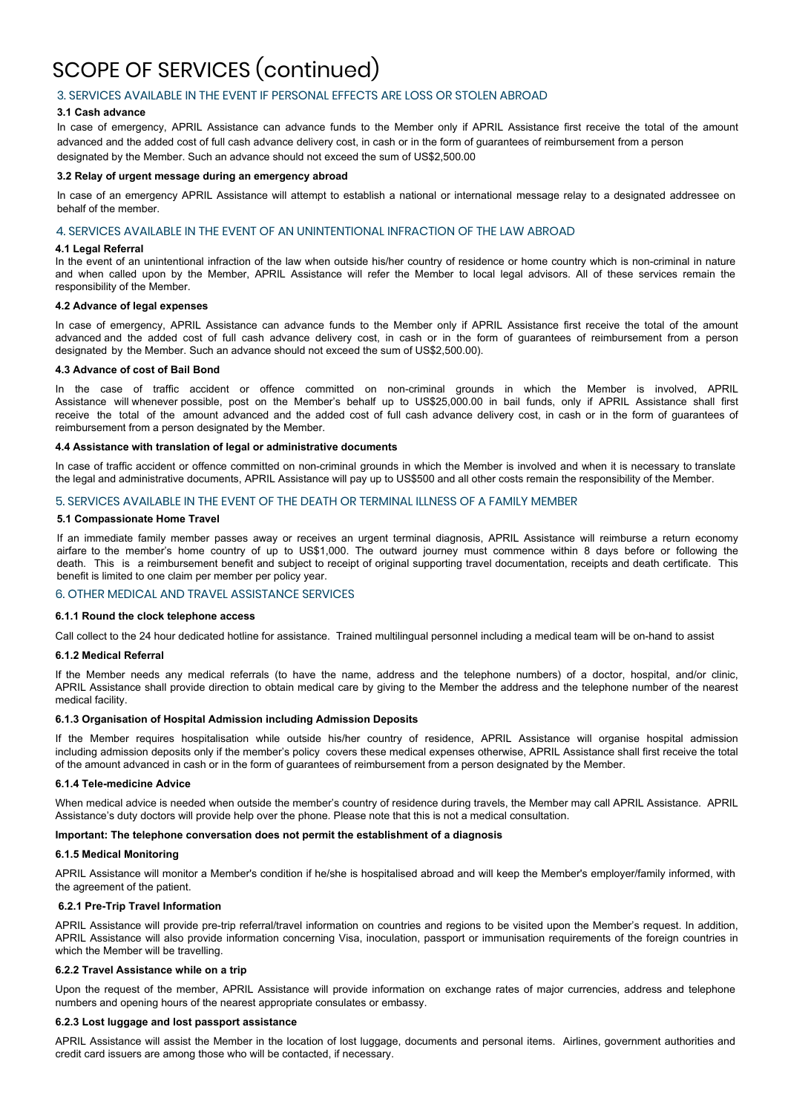# SCOPE OF SERVICES (continued)

# 3. SERVICES AVAILABLE IN THE EVENT IF PERSONAL EFFECTS ARE LOSS OR STOLEN ABROAD

# **3.1 Cash advance**

In case of emergency, APRIL Assistance can advance funds to the Member only if APRIL Assistance first receive the total of the amount advanced and the added cost of full cash advance delivery cost, in cash or in the form of guarantees of reimbursement from a person designated by the Member. Such an advance should not exceed the sum of US\$2,500.00

#### **3.2 Relay of urgent message during an emergency abroad**

In case of an emergency APRIL Assistance will attempt to establish a national or international message relay to a designated addressee on behalf of the member.

# 4. SERVICES AVAILABLE IN THE EVENT OF AN UNINTENTIONAL INFRACTION OF THE LAW ABROAD

#### **4.1 Legal Referral**

In the event of an unintentional infraction of the law when outside his/her country of residence or home country which is non-criminal in nature and when called upon by the Member, APRIL Assistance will refer the Member to local legal advisors. All of these services remain the responsibility of the Member.

#### **4.2 Advance of legal expenses**

In case of emergency, APRIL Assistance can advance funds to the Member only if APRIL Assistance first receive the total of the amount advanced and the added cost of full cash advance delivery cost, in cash or in the form of guarantees of reimbursement from a person designated by the Member. Such an advance should not exceed the sum of US\$2,500.00).

#### **4.3 Advance of cost of Bail Bond**

In the case of traffic accident or offence committed on non-criminal grounds in which the Member is involved, APRIL Assistance will whenever possible, post on the Member's behalf up to US\$25,000.00 in bail funds, only if APRIL Assistance shall first receive the total of the amount advanced and the added cost of full cash advance delivery cost, in cash or in the form of guarantees of reimbursement from a person designated by the Member.

#### **4.4 Assistance with translation of legal or administrative documents**

In case of traffic accident or offence committed on non-criminal grounds in which the Member is involved and when it is necessary to translate the legal and administrative documents, APRIL Assistance will pay up to US\$500 and all other costs remain the responsibility of the Member.

# 5. SERVICES AVAILABLE IN THE EVENT OF THE DEATH OR TERMINAL ILLNESS OF A FAMILY MEMBER

### **5.1 Compassionate Home Travel**

If an immediate family member passes away or receives an urgent terminal diagnosis, APRIL Assistance will reimburse a return economy airfare to the member's home country of up to US\$1,000. The outward journey must commence within 8 days before or following the death. This is a reimbursement benefit and subject to receipt of original supporting travel documentation, receipts and death certificate. This benefit is limited to one claim per member per policy year.

# 6. OTHER MEDICAL AND TRAVEL ASSISTANCE SERVICES

# **6.1.1 Round the clock telephone access**

Call collect to the 24 hour dedicated hotline for assistance. Trained multilingual personnel including a medical team will be on-hand to assist

#### **6.1.2 Medical Referral**

If the Member needs any medical referrals (to have the name, address and the telephone numbers) of a doctor, hospital, and/or clinic, APRIL Assistance shall provide direction to obtain medical care by giving to the Member the address and the telephone number of the nearest medical facility.

# **6.1.3 Organisation of Hospital Admission including Admission Deposits**

If the Member requires hospitalisation while outside his/her country of residence, APRIL Assistance will organise hospital admission including admission deposits only if the member's policy covers these medical expenses otherwise, APRIL Assistance shall first receive the total of the amount advanced in cash or in the form of guarantees of reimbursement from a person designated by the Member.

#### **6.1.4 Tele-medicine Advice**

When medical advice is needed when outside the member's country of residence during travels, the Member may call APRIL Assistance. APRIL Assistance's duty doctors will provide help over the phone. Please note that this is not a medical consultation.

# **Important: The telephone conversation does not permit the establishment of a diagnosis**

### **6.1.5 Medical Monitoring**

APRIL Assistance will monitor a Member's condition if he/she is hospitalised abroad and will keep the Member's employer/family informed, with the agreement of the patient.

# **6.2.1 Pre-Trip Travel Information**

APRIL Assistance will provide pre-trip referral/travel information on countries and regions to be visited upon the Member's request. In addition, APRIL Assistance will also provide information concerning Visa, inoculation, passport or immunisation requirements of the foreign countries in which the Member will be travelling.

#### **6.2.2 Travel Assistance while on a trip**

Upon the request of the member, APRIL Assistance will provide information on exchange rates of major currencies, address and telephone numbers and opening hours of the nearest appropriate consulates or embassy.

#### **6.2.3 Lost luggage and lost passport assistance**

APRIL Assistance will assist the Member in the location of lost luggage, documents and personal items. Airlines, government authorities and credit card issuers are among those who will be contacted, if necessary.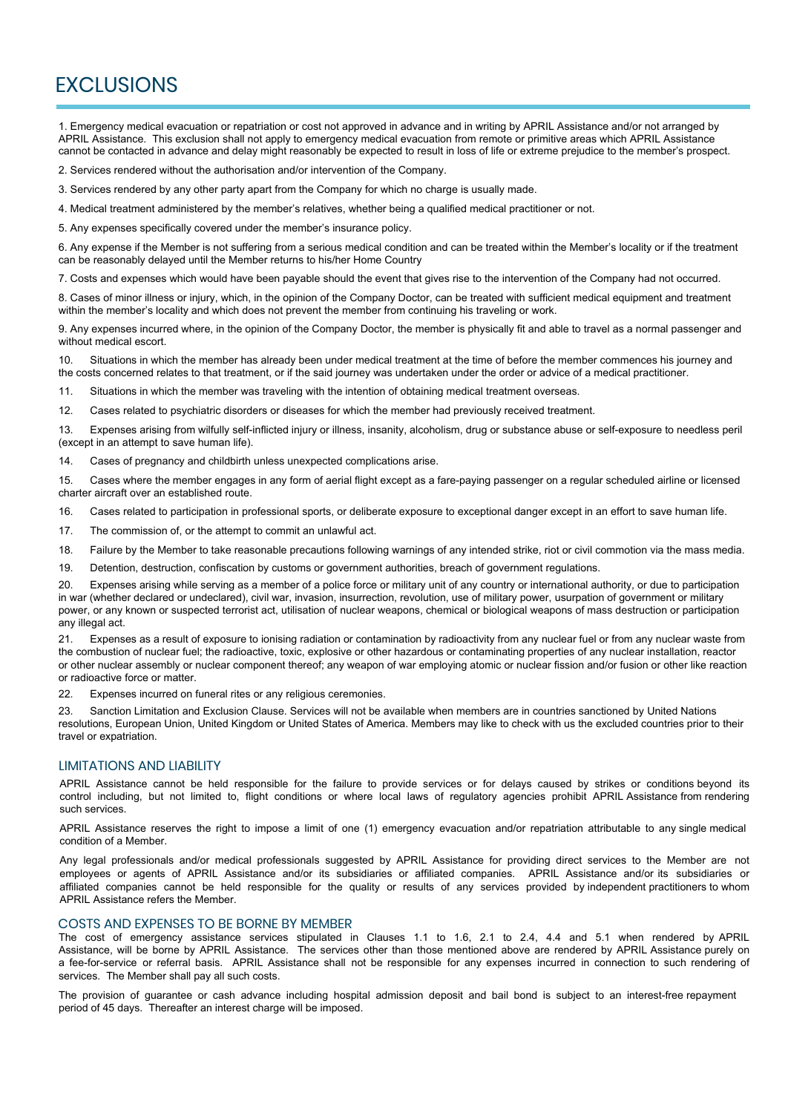# **EXCLUSIONS**

1. Emergency medical evacuation or repatriation or cost not approved in advance and in writing by APRIL Assistance and/or not arranged by APRIL Assistance. This exclusion shall not apply to emergency medical evacuation from remote or primitive areas which APRIL Assistance cannot be contacted in advance and delay might reasonably be expected to result in loss of life or extreme prejudice to the member's prospect.

2. Services rendered without the authorisation and/or intervention of the Company.

3. Services rendered by any other party apart from the Company for which no charge is usually made.

4. Medical treatment administered by the member's relatives, whether being a qualified medical practitioner or not.

5. Any expenses specifically covered under the member's insurance policy.

6. Any expense if the Member is not suffering from a serious medical condition and can be treated within the Member's locality or if the treatment can be reasonably delayed until the Member returns to his/her Home Country

7. Costs and expenses which would have been payable should the event that gives rise to the intervention of the Company had not occurred.

8. Cases of minor illness or injury, which, in the opinion of the Company Doctor, can be treated with sufficient medical equipment and treatment within the member's locality and which does not prevent the member from continuing his traveling or work.

9. Any expenses incurred where, in the opinion of the Company Doctor, the member is physically fit and able to travel as a normal passenger and without medical escort.

10. Situations in which the member has already been under medical treatment at the time of before the member commences his journey and the costs concerned relates to that treatment, or if the said journey was undertaken under the order or advice of a medical practitioner.

11. Situations in which the member was traveling with the intention of obtaining medical treatment overseas.

12. Cases related to psychiatric disorders or diseases for which the member had previously received treatment.

13. Expenses arising from wilfully self-inflicted injury or illness, insanity, alcoholism, drug or substance abuse or self-exposure to needless peril (except in an attempt to save human life).

14. Cases of pregnancy and childbirth unless unexpected complications arise.

15. Cases where the member engages in any form of aerial flight except as a fare-paying passenger on a regular scheduled airline or licensed charter aircraft over an established route.

16. Cases related to participation in professional sports, or deliberate exposure to exceptional danger except in an effort to save human life.

17. The commission of, or the attempt to commit an unlawful act.

18. Failure by the Member to take reasonable precautions following warnings of any intended strike, riot or civil commotion via the mass media.

19. Detention, destruction, confiscation by customs or government authorities, breach of government regulations.

20. Expenses arising while serving as a member of a police force or military unit of any country or international authority, or due to participation in war (whether declared or undeclared), civil war, invasion, insurrection, revolution, use of military power, usurpation of government or military power, or any known or suspected terrorist act, utilisation of nuclear weapons, chemical or biological weapons of mass destruction or participation any illegal act.

21. Expenses as a result of exposure to ionising radiation or contamination by radioactivity from any nuclear fuel or from any nuclear waste from the combustion of nuclear fuel; the radioactive, toxic, explosive or other hazardous or contaminating properties of any nuclear installation, reactor or other nuclear assembly or nuclear component thereof; any weapon of war employing atomic or nuclear fission and/or fusion or other like reaction or radioactive force or matter.

22. Expenses incurred on funeral rites or any religious ceremonies.

23. Sanction Limitation and Exclusion Clause. Services will not be available when members are in countries sanctioned by United Nations resolutions, European Union, United Kingdom or United States of America. Members may like to check with us the excluded countries prior to their travel or expatriation.

# LIMITATIONS AND LIABILITY

APRIL Assistance cannot be held responsible for the failure to provide services or for delays caused by strikes or conditions beyond its control including, but not limited to, flight conditions or where local laws of regulatory agencies prohibit APRIL Assistance from rendering such services.

APRIL Assistance reserves the right to impose a limit of one (1) emergency evacuation and/or repatriation attributable to any single medical condition of a Member.

Any legal professionals and/or medical professionals suggested by APRIL Assistance for providing direct services to the Member are not employees or agents of APRIL Assistance and/or its subsidiaries or affiliated companies. APRIL Assistance and/or its subsidiaries or affiliated companies cannot be held responsible for the quality or results of any services provided by independent practitioners to whom APRIL Assistance refers the Member.

# COSTS AND EXPENSES TO BE BORNE BY MEMBER

The cost of emergency assistance services stipulated in Clauses 1.1 to 1.6, 2.1 to 2.4, 4.4 and 5.1 when rendered by APRIL Assistance, will be borne by APRIL Assistance. The services other than those mentioned above are rendered by APRIL Assistance purely on a fee-for-service or referral basis. APRIL Assistance shall not be responsible for any expenses incurred in connection to such rendering of services. The Member shall pay all such costs.

The provision of guarantee or cash advance including hospital admission deposit and bail bond is subject to an interest-free repayment period of 45 days. Thereafter an interest charge will be imposed.